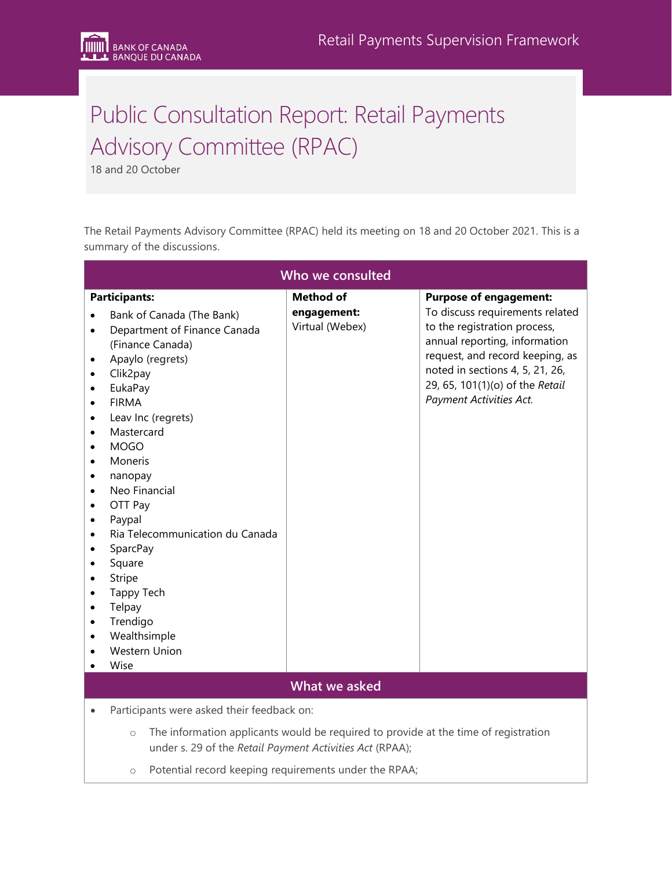# Public Consultation Report: Retail Payments Advisory Committee (RPAC)

18 and 20 October

The Retail Payments Advisory Committee (RPAC) held its meeting on 18 and 20 October 2021. This is a summary of the discussions.

| Who we consulted                                                                                                                                                                                                                                                                                                                                                                                                                                                                                                                                                                                                                                                                      |                                                    |                                                                                                                                                                                                                                                                       |
|---------------------------------------------------------------------------------------------------------------------------------------------------------------------------------------------------------------------------------------------------------------------------------------------------------------------------------------------------------------------------------------------------------------------------------------------------------------------------------------------------------------------------------------------------------------------------------------------------------------------------------------------------------------------------------------|----------------------------------------------------|-----------------------------------------------------------------------------------------------------------------------------------------------------------------------------------------------------------------------------------------------------------------------|
| <b>Participants:</b><br>Bank of Canada (The Bank)<br>Department of Finance Canada<br>$\bullet$<br>(Finance Canada)<br>Apaylo (regrets)<br>$\bullet$<br>Clik2pay<br>$\bullet$<br>EukaPay<br>$\bullet$<br><b>FIRMA</b><br>Leav Inc (regrets)<br>Mastercard<br>$\bullet$<br><b>MOGO</b><br>$\bullet$<br>Moneris<br>$\bullet$<br>nanopay<br>$\bullet$<br>Neo Financial<br>$\bullet$<br>OTT Pay<br>$\bullet$<br>Paypal<br>$\bullet$<br>Ria Telecommunication du Canada<br>$\bullet$<br>SparcPay<br>Square<br>٠<br>Stripe<br>$\bullet$<br>Tappy Tech<br>$\bullet$<br>Telpay<br>$\bullet$<br>Trendigo<br>$\bullet$<br>Wealthsimple<br>$\bullet$<br><b>Western Union</b><br>Wise<br>$\bullet$ | <b>Method of</b><br>engagement:<br>Virtual (Webex) | <b>Purpose of engagement:</b><br>To discuss requirements related<br>to the registration process,<br>annual reporting, information<br>request, and record keeping, as<br>noted in sections 4, 5, 21, 26,<br>29, 65, 101(1)(o) of the Retail<br>Payment Activities Act. |
| What we asked                                                                                                                                                                                                                                                                                                                                                                                                                                                                                                                                                                                                                                                                         |                                                    |                                                                                                                                                                                                                                                                       |
| Participants were asked their feedback on:<br>$\bullet$<br>The information applicants would be required to provide at the time of registration<br>$\circ$<br>under s. 29 of the Retail Payment Activities Act (RPAA);                                                                                                                                                                                                                                                                                                                                                                                                                                                                 |                                                    |                                                                                                                                                                                                                                                                       |

o Potential record keeping requirements under the RPAA;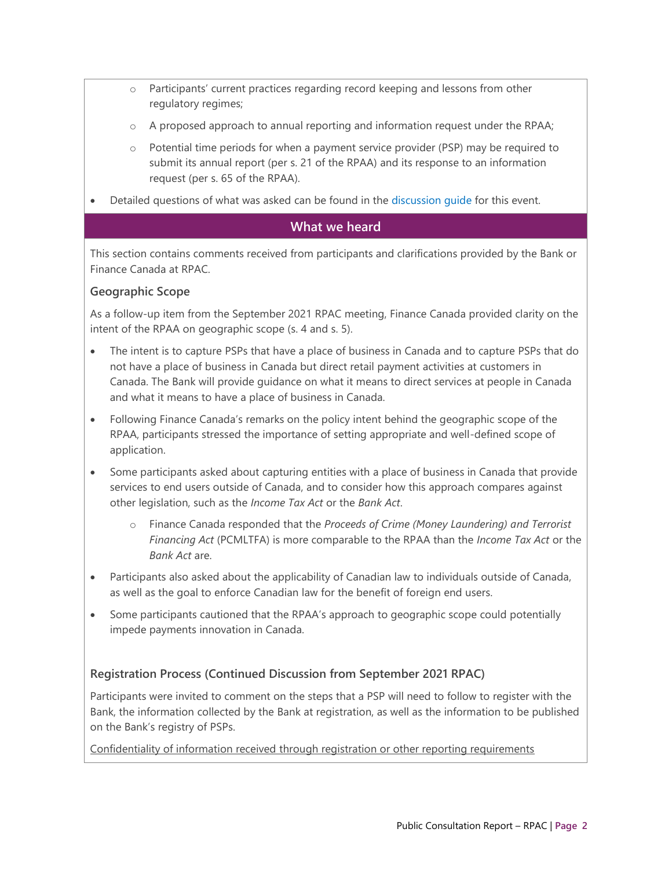- o Participants' current practices regarding record keeping and lessons from other regulatory regimes;
- $\circ$  A proposed approach to annual reporting and information request under the RPAA;
- $\circ$  Potential time periods for when a payment service provider (PSP) may be required to submit its annual report (per s. 21 of the RPAA) and its response to an information request (per s. 65 of the RPAA).
- Detailed questions of what was asked can be found in the [discussion guide](https://www.bankofcanada.ca/2021/10/rpac-meeting-october-18-2021-october-20-2021/) for this event.

## **What we heard**

This section contains comments received from participants and clarifications provided by the Bank or Finance Canada at RPAC.

#### **Geographic Scope**

As a follow-up item from the September 2021 RPAC meeting, Finance Canada provided clarity on the intent of the RPAA on geographic scope (s. 4 and s. 5).

- The intent is to capture PSPs that have a place of business in Canada and to capture PSPs that do not have a place of business in Canada but direct retail payment activities at customers in Canada. The Bank will provide guidance on what it means to direct services at people in Canada and what it means to have a place of business in Canada.
- Following Finance Canada's remarks on the policy intent behind the geographic scope of the RPAA, participants stressed the importance of setting appropriate and well-defined scope of application.
- Some participants asked about capturing entities with a place of business in Canada that provide services to end users outside of Canada, and to consider how this approach compares against other legislation, such as the *Income Tax Act* or the *Bank Act*.
	- o Finance Canada responded that the *Proceeds of Crime (Money Laundering) and Terrorist Financing Act* (PCMLTFA) is more comparable to the RPAA than the *Income Tax Act* or the *Bank Act* are.
- Participants also asked about the applicability of Canadian law to individuals outside of Canada, as well as the goal to enforce Canadian law for the benefit of foreign end users.
- Some participants cautioned that the RPAA's approach to geographic scope could potentially impede payments innovation in Canada.

#### **Registration Process (Continued Discussion from September 2021 RPAC)**

Participants were invited to comment on the steps that a PSP will need to follow to register with the Bank, the information collected by the Bank at registration, as well as the information to be published on the Bank's registry of PSPs.

Confidentiality of information received through registration or other reporting requirements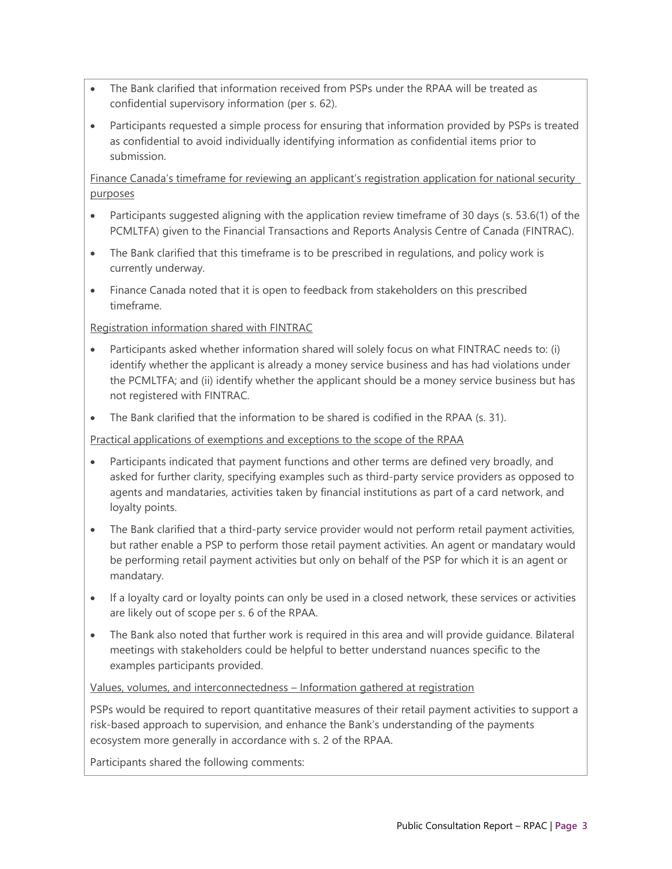- The Bank clarified that information received from PSPs under the RPAA will be treated as confidential supervisory information (per s. 62).
- Participants requested a simple process for ensuring that information provided by PSPs is treated as confidential to avoid individually identifying information as confidential items prior to submission.

Finance Canada's timeframe for reviewing an applicant's registration application for national security purposes

- Participants suggested aligning with the application review timeframe of 30 days (s. 53.6(1) of the PCMLTFA) given to the Financial Transactions and Reports Analysis Centre of Canada (FINTRAC).
- The Bank clarified that this timeframe is to be prescribed in regulations, and policy work is currently underway.
- Finance Canada noted that it is open to feedback from stakeholders on this prescribed timeframe.

Registration information shared with FINTRAC

- Participants asked whether information shared will solely focus on what FINTRAC needs to: (i) identify whether the applicant is already a money service business and has had violations under the PCMLTFA; and (ii) identify whether the applicant should be a money service business but has not registered with FINTRAC.
- The Bank clarified that the information to be shared is codified in the RPAA (s. 31).

Practical applications of exemptions and exceptions to the scope of the RPAA

- Participants indicated that payment functions and other terms are defined very broadly, and asked for further clarity, specifying examples such as third-party service providers as opposed to agents and mandataries, activities taken by financial institutions as part of a card network, and loyalty points.
- The Bank clarified that a third-party service provider would not perform retail payment activities, but rather enable a PSP to perform those retail payment activities. An agent or mandatary would be performing retail payment activities but only on behalf of the PSP for which it is an agent or mandatary.
- If a loyalty card or loyalty points can only be used in a closed network, these services or activities are likely out of scope per s. 6 of the RPAA.
- The Bank also noted that further work is required in this area and will provide guidance. Bilateral meetings with stakeholders could be helpful to better understand nuances specific to the examples participants provided.

Values, volumes, and interconnectedness – Information gathered at registration

PSPs would be required to report quantitative measures of their retail payment activities to support a risk-based approach to supervision, and enhance the Bank's understanding of the payments ecosystem more generally in accordance with s. 2 of the RPAA.

Participants shared the following comments: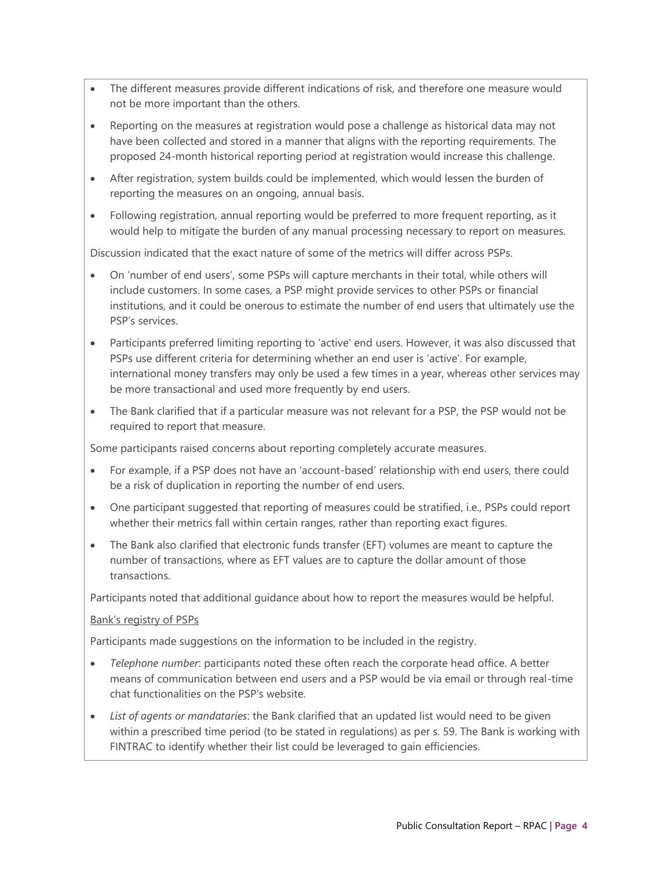- The different measures provide different indications of risk, and therefore one measure would not be more important than the others.
- Reporting on the measures at registration would pose a challenge as historical data may not have been collected and stored in a manner that aligns with the reporting requirements. The proposed 24-month historical reporting period at registration would increase this challenge.
- After registration, system builds could be implemented, which would lessen the burden of reporting the measures on an ongoing, annual basis.
- Following registration, annual reporting would be preferred to more frequent reporting, as it would help to mitigate the burden of any manual processing necessary to report on measures.

Discussion indicated that the exact nature of some of the metrics will differ across PSPs.

- On 'number of end users', some PSPs will capture merchants in their total, while others will include customers. In some cases, a PSP might provide services to other PSPs or financial institutions, and it could be onerous to estimate the number of end users that ultimately use the PSP's services.
- Participants preferred limiting reporting to 'active' end users. However, it was also discussed that PSPs use different criteria for determining whether an end user is 'active'. For example, international money transfers may only be used a few times in a year, whereas other services may be more transactional and used more frequently by end users.
- The Bank clarified that if a particular measure was not relevant for a PSP, the PSP would not be required to report that measure.

Some participants raised concerns about reporting completely accurate measures.

- For example, if a PSP does not have an 'account-based' relationship with end users, there could be a risk of duplication in reporting the number of end users.
- One participant suggested that reporting of measures could be stratified, i.e., PSPs could report whether their metrics fall within certain ranges, rather than reporting exact figures.
- The Bank also clarified that electronic funds transfer (EFT) volumes are meant to capture the number of transactions, where as EFT values are to capture the dollar amount of those transactions.

Participants noted that additional guidance about how to report the measures would be helpful.

#### Bank's registry of PSPs

Participants made suggestions on the information to be included in the registry.

- *Telephone number*: participants noted these often reach the corporate head office. A better means of communication between end users and a PSP would be via email or through real-time chat functionalities on the PSP's website.
- *List of agents or mandataries*: the Bank clarified that an updated list would need to be given within a prescribed time period (to be stated in regulations) as per s. 59. The Bank is working with FINTRAC to identify whether their list could be leveraged to gain efficiencies.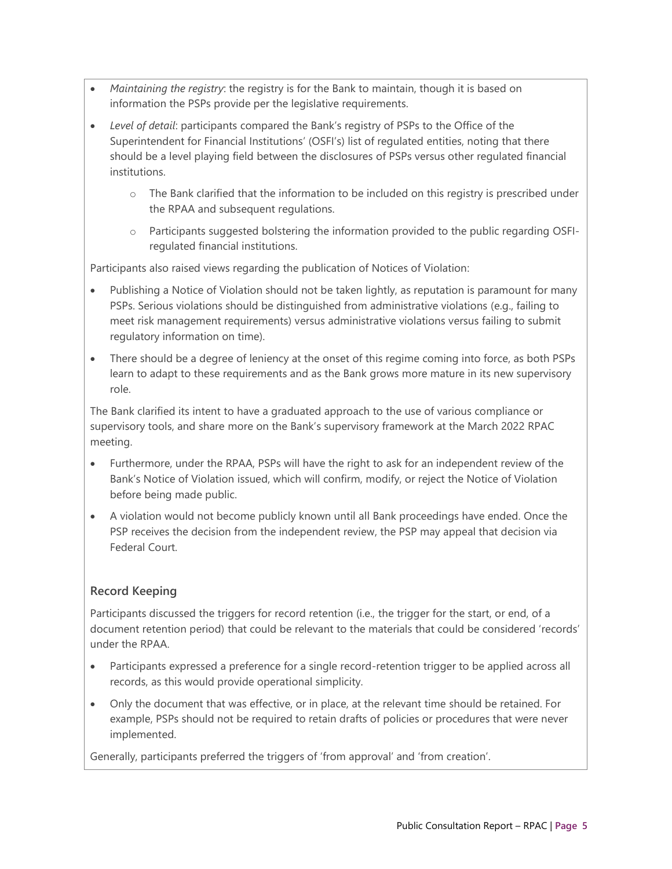- *Maintaining the registry*: the registry is for the Bank to maintain, though it is based on information the PSPs provide per the legislative requirements.
- *Level of detail*: participants compared the Bank's registry of PSPs to the Office of the Superintendent for Financial Institutions' (OSFI's) list of regulated entities, noting that there should be a level playing field between the disclosures of PSPs versus other regulated financial institutions.
	- o The Bank clarified that the information to be included on this registry is prescribed under the RPAA and subsequent regulations.
	- o Participants suggested bolstering the information provided to the public regarding OSFIregulated financial institutions.

Participants also raised views regarding the publication of Notices of Violation:

- Publishing a Notice of Violation should not be taken lightly, as reputation is paramount for many PSPs. Serious violations should be distinguished from administrative violations (e.g., failing to meet risk management requirements) versus administrative violations versus failing to submit regulatory information on time).
- There should be a degree of leniency at the onset of this regime coming into force, as both PSPs learn to adapt to these requirements and as the Bank grows more mature in its new supervisory role.

The Bank clarified its intent to have a graduated approach to the use of various compliance or supervisory tools, and share more on the Bank's supervisory framework at the March 2022 RPAC meeting.

- Furthermore, under the RPAA, PSPs will have the right to ask for an independent review of the Bank's Notice of Violation issued, which will confirm, modify, or reject the Notice of Violation before being made public.
- A violation would not become publicly known until all Bank proceedings have ended. Once the PSP receives the decision from the independent review, the PSP may appeal that decision via Federal Court.

# **Record Keeping**

Participants discussed the triggers for record retention (i.e., the trigger for the start, or end, of a document retention period) that could be relevant to the materials that could be considered 'records' under the RPAA.

- Participants expressed a preference for a single record-retention trigger to be applied across all records, as this would provide operational simplicity.
- Only the document that was effective, or in place, at the relevant time should be retained. For example, PSPs should not be required to retain drafts of policies or procedures that were never implemented.

Generally, participants preferred the triggers of 'from approval' and 'from creation'.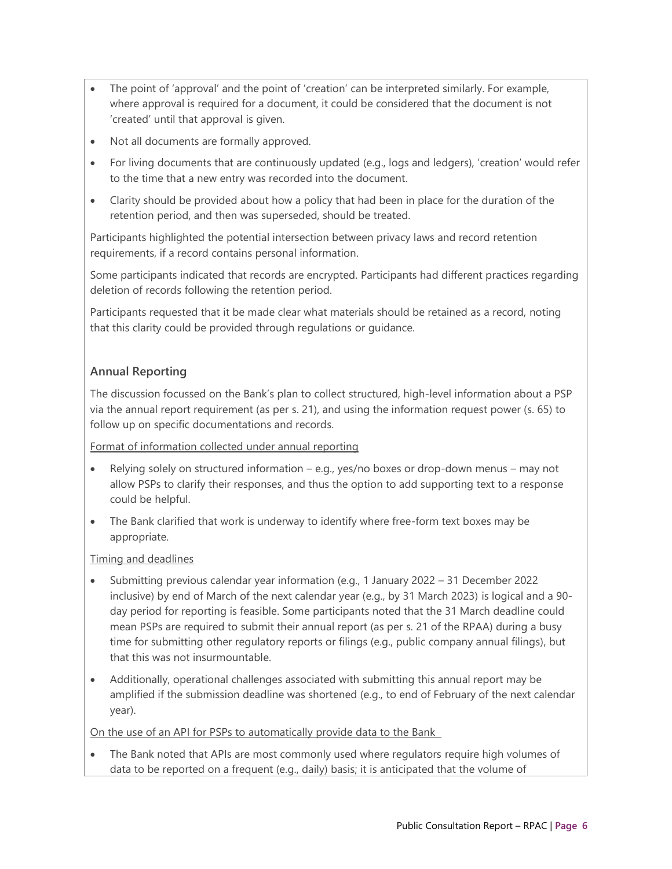- The point of 'approval' and the point of 'creation' can be interpreted similarly. For example, where approval is required for a document, it could be considered that the document is not 'created' until that approval is given.
- Not all documents are formally approved.
- For living documents that are continuously updated (e.g., logs and ledgers), 'creation' would refer to the time that a new entry was recorded into the document.
- Clarity should be provided about how a policy that had been in place for the duration of the retention period, and then was superseded, should be treated.

Participants highlighted the potential intersection between privacy laws and record retention requirements, if a record contains personal information.

Some participants indicated that records are encrypted. Participants had different practices regarding deletion of records following the retention period.

Participants requested that it be made clear what materials should be retained as a record, noting that this clarity could be provided through regulations or guidance.

# **Annual Reporting**

The discussion focussed on the Bank's plan to collect structured, high-level information about a PSP via the annual report requirement (as per s. 21), and using the information request power (s. 65) to follow up on specific documentations and records.

Format of information collected under annual reporting

- Relying solely on structured information e.g., yes/no boxes or drop-down menus may not allow PSPs to clarify their responses, and thus the option to add supporting text to a response could be helpful.
- The Bank clarified that work is underway to identify where free-form text boxes may be appropriate.

#### Timing and deadlines

- Submitting previous calendar year information (e.g., 1 January 2022 31 December 2022 inclusive) by end of March of the next calendar year (e.g., by 31 March 2023) is logical and a 90 day period for reporting is feasible. Some participants noted that the 31 March deadline could mean PSPs are required to submit their annual report (as per s. 21 of the RPAA) during a busy time for submitting other regulatory reports or filings (e.g., public company annual filings), but that this was not insurmountable.
- Additionally, operational challenges associated with submitting this annual report may be amplified if the submission deadline was shortened (e.g., to end of February of the next calendar year).

On the use of an API for PSPs to automatically provide data to the Bank

• The Bank noted that APIs are most commonly used where regulators require high volumes of data to be reported on a frequent (e.g., daily) basis; it is anticipated that the volume of